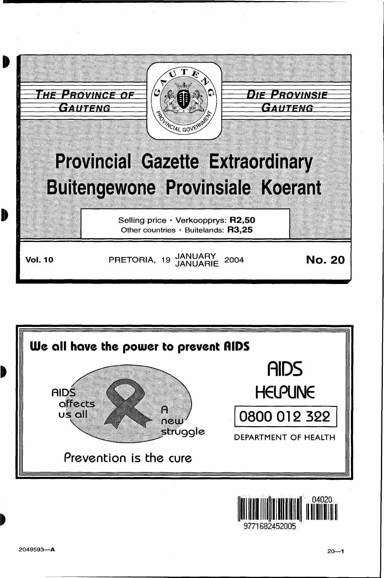



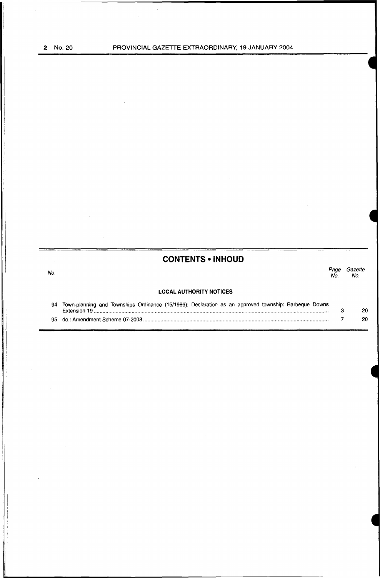No.

# **CONTENTS • INHOUD**

*Page Gazette*  Page<br>No.

## **LOCAL AUTHORITY NOTICES**

| 94 Town-planning and Townships Ordinance (15/1986): Declaration as an approved township: Barbeque Downs |     |
|---------------------------------------------------------------------------------------------------------|-----|
|                                                                                                         | 20. |
|                                                                                                         | 20. |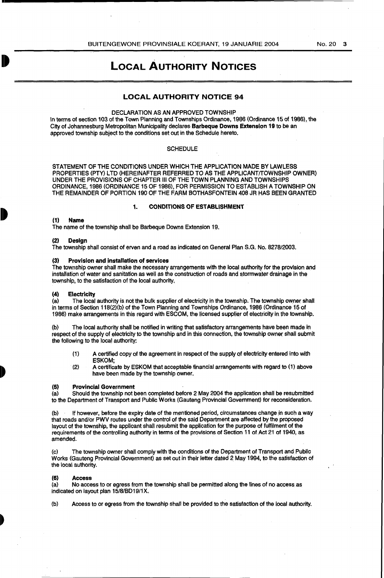# LOCAL AUTHORITY NOTICES

# LOCAL AUTHORITY NOTICE 94

# DECLARATION AS AN APPROVED TOWNSHIP

In terms of section 103 of the Town Planning and Townships Ordinance, 1986 (Ordinance 15 of 1986), the City of .Johannesburg Metropolitan Municipality declares Barbeque Downs Extension 19 to be an approved township subject to the conditions set out in the Schedule hereto.

### **SCHEDULE**

STATEMENT OF THE CONDITIONS UNDER WHICH THE APPLICATION MADE BY LAWLESS PROPERTIES (PTY) LTD (HEREINAFTER REFERRED TO AS THE APPLICANT/TOWNSHIP OWNER) UNDER THE PROVISIONS OF CHAPTER Ill OF THE TOWN PLANNING AND TOWNSHIPS ORDINANCE, 1986 (ORDINANCE 15 OF 1986), FOR PERMISSION TO ESTABLISH A TOWNSHIP ON THE REMAINDER OF PORTION 190 OF THE FARM BOTHASFONTEIN 408 JR HAS BEEN GRANTED

## 1. CONDITIONS OF ESTABLISHMENT

### (1) Name

The name of the township shall be Barbeque Downs Extension 19.

#### (2) Design

The township shall consist of erven and a road as indicated on General Plan S.G. No. 8278/2003.

#### (3) Provision and installation of services

The township owner shall make the necessary arrangements with the local authority for the provision and installation of water and sanitation as well as the construction of roads and stormwater drainage in the township, to the satisfaction of the local authority.

# (4) Electricity<br>(a) The local

The local authority is not the bulk supplier of electricity in the township. The township owner shall in terms of Section 118(2)(b) of the Town Planning and Townships Ordinance, 1986 (Ordinance 15 of 1986) make arrangements in this regard with ESCOM, the licensed supplier of electricity in. the township.

(b) The local authority shall be. notified in writing that satisfactory arrangements have been made in respect of the supply of electricity to the township and in this connection, the township owner shall submit the following to the local authority:

- (1) A certified copy of the agreement in respect of the supply of electricity entered into with ESKOM;
- (2) A certificate by ESKOM that acceptable financial arrangements with regard to (1) above have been made by the township owner.

# (5) Provincial Government<br>(a) Should the township not b

Should the township not been completed before 2 May 2004 the application shall be resubmitted to the Department of Transport and Public Works (Gauteng Provincial Government) for reconsideration.

(b) If however, before the expiry date of the mentioned period, circumstances change in such a way that roads and/or PWV routes under the control of the said Department are affected by the proposed layout of the township, the applicant shall resubmit the application for the purpose of fulfilment of the requirements of the controlling authority in terms of the provisions of Section 11 of Act 21 of 1940, as amended.

(c) The township owner shall comply with the conditions of the Department of Transport and Public Works (Gauteng Provlnciai.Govemment) as set out in their letter dated 2 May 1994, to the satisfaction of the local authority.

#### $(6)$

(a) No access to or egress from the township shall be permitted along the lines of no access as indicated on layout plan 15/8/BD19/1X.

(b) Access to or egress from the township shall be provided to the satisfaction of the local authority.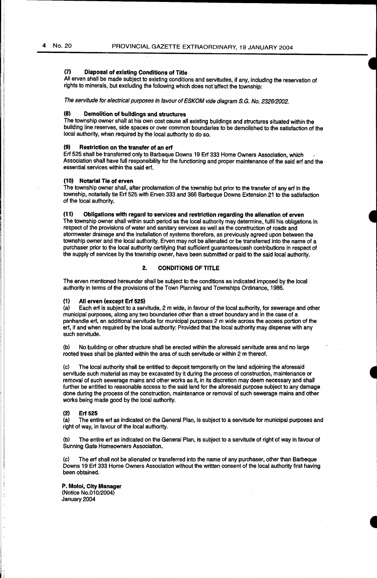# (7) Disposal of existing Conditions of Title

All erven shall be made subject to existing conditions and servitudes, if any, including the reservation of rights to minerals, but excluding the following which does nor affect the township:

The servitude for electrical purposes In favour of ESKOM vide diagram S.G. No. 2326/2002.

### (8) Demolition of buildings and structures

The township owner shall at his own cost cause all existing buildings and structures situated within the building. line reserves, side spaces or over common boundaries to be demolished to the satisfaction of the local authority, when required by the local authority to do so.

# (9) Restriction on the transfer of. an erf

Erf 525 shall be transferred only to Barbeque Downs 19 Erf 333 Home Owners Association, which Association shall have full responsibility for the functioning and proper maintenance of the said erf and the .essential services within the said erf.

#### (10) Notarial Tie of erven

The township owner shall, after proclamation of the township but prior to the transfer of any erf in the township, notarially tie Erf 525 with Erven 333 and 366 Barbeque Downs Extension 21 to the satisfaction of the local authority.

### (11) Obligations with regard to services and restriction regarding the alienation of erven ·

The township owner shall within such period as the local authority may determine, fulfil his obligations in respect of the provisions of water and sanitary services as well as the construction of roads and stormwater drainage and the installation of systems therefore, as previously agreed upon between the township owner and the local authority. Erven may not be alienated or be transferred into the name of a purchaser prior to the local authority certifying that sufficient guarantees/cash contributions in respect of the supply of services by the township owner, have been submitted or paid to the said local authority.

## 2. CONDITIONS OF TITLE

The erven mentioned hereunder shall be subject to the conditions as indicated imposed by the local authority in terms of the provisions of the Town Planning and Townships Ordinance, 1986.

#### (1) All erven (except Erf 525)

(a) Each erf is subject to a servitude, 2 m wide, in favour of the local authority, for sewerage and other municipal purposes, along any two boundaries other than a street boundary and in the case of a panhandle erf, an additional servitude for municipal purposes 2 m wide across the access partion of the erf, if and when required by the local authority: Provided that the local authority may dispense with any such servitude.

(b) No building or other structure shall be erected within the aforesaid servitude area and no large rooted trees shall be planted within the area of such servitude or within 2 m thereof.

(c) The local authority shall be entitled to deposit temporarily on the land adjoining the aforesaid servitude such material as may be excavated by it during the process of construction, maintenance or removal of such sewerage mains and other works as it, in its discretion may deem necessary and shall further be entitled to reasonable access to the said land for the aforesaid purpose subject to any damage done during the process of the construction, maintenance or removal of such sewerage mains and other works being made good by the local authority.

#### (2) Erf 525

(a) The entire erf as indicated on the General Plan, is subject to a servitude for municipal purposes and right of way, in favour of the local authority.

(b) The entire erf as indicated on the General Plan, is subject to a servitude of right of way in favour of Sunning Gate Homeowners Association. ·

(c) The erf shall not be alienated or transferred into the name of any purchaser, other than Barbeque Downs 19 Erf 333 Home Owners Association without the written consent of the local authority first having been obtained.

P. Moloi, City Manager (Notice No.010/2004) January 2004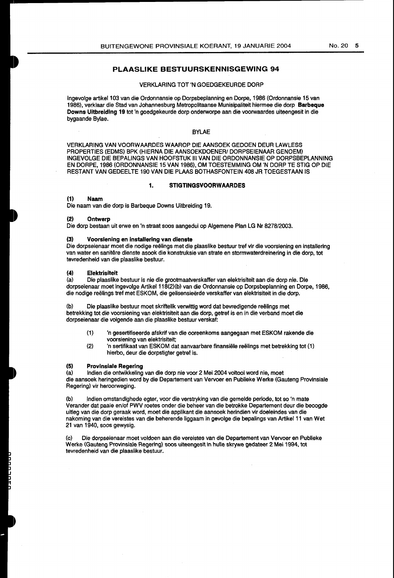# PLAASLIKE BESTUURSKENNISGEWING 94

#### VERKLARING TOT 'N GOEDGEKEURDE DORP

Ingevolge artikel 103 van die Ordonnansie op Dorpsbeplanning en Dorpe, 1986 (Ordonnansie. 15 van 1986), verklaar die Stad van Johannesburg Metropolitaanse Munisipaliteit hiermee die dorp Barbeque Downs Uitbreidlng 19 tot 'n goedgekeurde dorp onderworpe aan die voorwaardes uiteengesit in die bygaande Bylae.

## **BYLAE**

VERKLARING VAN VOORWAARDES WAAROP DIE AANSOEK GEDOEN DEUR LAWLESS PROPERTIES (EDMS) BPK (HIERNA DIE AANSOEKDOENER/ DORPSEIENAAR GENOEM) INGEVOLGE DIE BEPALINGS VANHOOFSTUK Ill VAN DIE ORDONNANSIE OP DORPSBEPLANNING EN DORPE, 1986 (ORDONNANSIE 15 VAN 1986), OM TOESTEMMING OM 'N DORP TE STIG OP DIE RESTANT VAN GEDEELTE 190 VAN DIE PLAAS BOTHASFONTEIN 408 JR TOEGESTAAN IS

## 1. STIGTINGSVOORWAARDES

#### (1) Naam

Die naam van die dorp is Barbeque Downs Uitbreiding 19.

#### (2). Ontwerp

Die dorp bestaan uit erwe en 'n straat soos aangedui op Algemene Plan LG Nr 8278/2003.

## (3) Voorslening en installering van dienste

Die dorpseienaar moet die nodige reëlings met die plaaslike bestuur tref vir die voorsiening en installering van water en sanitere dienste asook die konstruksie van strate en stormwaterdreinering in die dorp, tot tevredenheid van die plaaslike bestuur.

#### (4) Elektrisiteit

(a) Die plaaslike bestuur is nie die grootmaatverskaffer van elektrisiteit aan die dorp nie. Die dorpseienaar moet ingevolge Artikel 118(2)(b) van die Ordonnansie op Dorpsbeplanning en Dorpe, 1986, die nodige reelings tref met ESKOM, die gelisensieerde verskaffer van elektrisiteit in die dorp.

(b) Die plaaslike bestuur moet skriftelik verwittig word dat bevredigende reelings met betrekking tot die voorsiening van elektrisiteit aan die dorp, getref is en in die verband moet die dorpseienaar die volgende aan die piaaslike bestuur verskaf:

- (1) 'n gesertifiseerde afskrif van die ooreenkoms aangegaan met ESKOM rakende die voorsiening van elektrisiteit;
- (2) 'n sertifikaat van ESKOM dat aanvaarbare finansiele reelings met betrekking tot (1) hierbo, deur die dorpstigter getref is.

# (5) Provinsiale Regering<br>(a) Indien die ontwikkeling

Indien die ontwikkeling van die dorp nie voor 2 Mei 2004 voltooi word nie, moet die aansoek heringedien word by die Departement van Vervoer en Publieke Werke (Gauteng Provinsiale Regering) vir heroorweging.

(b) Indian omstandighede egter, voor die verstryking van die gemeide periode, tot so 'n mate Verander dat paaie en/of PWV roetes onder die beheer van die betrokke Departement deur die beoogde uitleg van die dorp geraak word, meet die applikant die aansoek herindien vir doeleindes van die nakoming van die vereistes van die beherende liggaam in gevolge die bepalings van Artikel 11 van Wet 21 van 1940, soos gewysig.

(c) Die dorpseienaar meet voldoen aan die vereistes van die Departement van Vervoer en Publieke Werke (Gauteng Provinsiale Regering} soos uiteengesit in hulle skrywe gedateer 2 Mei 1994, tot tevredenheid van die plaaslike bestuur.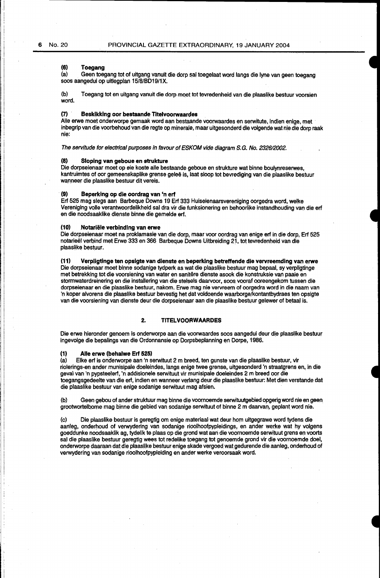## **(6) Toegang**

(a) Geen toegang tot of uitgang vanuit die dorp sal toegelaat word langs die lyne van geen toegang soos aangedui op uitlegplan 15/8/BD19/1X.

(b) Toegang tot en uitgang vanuit die dorp meet tot tevredenheid van die plaaslike bestuur voorsien word.

#### **m Besklkking oor bestaande Titelvoorwaardes**

Alle erwe moet onderworpe gemaak word aan bestaande voorwaardes en serwitute, indien enige, met inbegrip van die voorbehoud van die regte op minerale, maar uitgesonderd die volgende wat nie die dorp raak nie:

The servitude for electrical purposes in favour of ESKOM vide diagram S.G. No. 2326/2002.

## (\$) **Sloping van geboue en strukture**

Die dorpseienaar moet op eie koste aile bestaande geboue en strukture wat binne boulynreserwes, kantruimtes of oar gemeenskaplike grense gelee is, laat sloop tot bevrediging van die plaaslike bestuur wanneer die plaaslike bestuur dit vereis.

### **(9) Beperklng op die oordrag van 'n ert**

Erf 525 mag slegs aan Barbeque Downs 19 Ert 333 Huiseienaarsvereniging oorgedra word, welke Vereniging voile verantwoordelikheid sal dra vir die funksionering en behoorlike instandhouding van die. erf en die noodsaaklike dienste binne die gemelde erf.

#### **(10) Notariele verbindlng van erwe**

Die dorpseienaar moet na proklamasie van die dorp, maar voor oordrag van enige erf in die dorp, Erf 525 notarieël verbind met Erwe 333 en 366 Barbeque Downs Uitbreiding 21, tot tevredenheid van die plaaslike bestuur.

## **(11) Verpligtinge ten opsigte van dienste en beperking betreffende die vervreemding van erwe**

Die dorpseienaar moet binne sodanige tydperk as. wat die plaaslike bestuur mag bepaal, sy verpligtinge met betrekking tot die voorsiening van water en sanitere dienste asook die konstruksie van paaie en stormwaterdreinering en die installering van die stelsels daarvoor, soos vooraf ooreengekom tussen die dorpseienaar en die plaaslike bestuur, nakom. Erwe mag nie vervreem of oorgedra word in die naam van 'n koper alvorens die plaasllke bestuur bevestig het dat voldoende waarborge/kontantbydraes ten opsigte van die voorsiening van dienste deur die dorpseienaar aan die plaaslike bestuur gelewer of betaal is.

## **2. TITELVOORWAARDES**

Die erwe hieronder genoem is onderworpe aan die voorwaardes soos aangedui deur die plaaslike bestuur ingevolge die bepalings van die Ordonnansie op Dorpsbeplanning en Dorpe, 1986.

### **(1) Aile erwe (behalwe Erf 525)**

(a) Elke erf is onderworpe aan 'n serwituut 2 m breed, ten gunste van die plaaslike bestuur, vir riolerings-en ander munisipale doeleindes, langs enige twee grense, uitgesonderd 'n straatgrens en, in die geval van 'n pypsteelerf, 'n addisionele serwituut vir munisipale doeleindes 2 m breed oor die toegangsgedeelte van die erf; indien en wanneer verlang deur die plaaslike bestuur: Met dien verstande dat die plaaslike bestuur van enige sodanige serwituut mag afsien.

(b) Geen gebou of ander struktuur mag binne die voornoemde serwituutgebied opgerig word nie engeen grootwortelbome mag binne die gebied van sodanige serwituut of binne 2 m daarvan, geplant word nie.

(c) Die plaaslike bestuur is geregtig om enige materiaal wat deur hom uitgegrawe word tydens die aanleg, onderhoud of verwydering van sodanige rioolhoofpypleidings, en ander werke wat hy volgens goeddunke noodsaaklik ag, tydelik te plaas op die grond wat aari die voornoemde serwituut grens en voorts sal die plaaslike bestuur geregtig wees tot redelike toegang tot genoemde grand vir die voornoemde doel, onderworpe daaraan dat die plaaslike bestuur enige skade vergoed wat gedurende die aanleg, onderhoud of verwydering van sodanige rioolhoofpypleiding en ander werke veroorsaak word.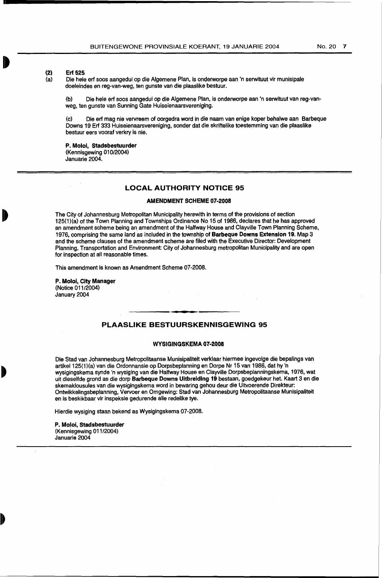**(2) Erf 525** 

Die hele erf soos aangedui op die Algemene Plan, is onderworpe aan 'n serwituut vir munisipale doeleindes en reg-van-weg, ten gunste van die plaaslike bestuur.

(b) Die hale erf soos aangedui op die Algemene Plan, is onderworpe aan 'n serwituut van reg-vanwag, ten gunste van Sunning Gate Huiseienaarsvereniging.

(c) Die erf mag nie vervreem of oorgedra word in die naam van enige koper behalwe aan Barbeque Downs 19 Erf 333 Huiseienaarsvereniging, sonder dat die skriftelike toestemming van die plaaslike bestuur eers vooraf verkry is nie.

**P. Moloi, Stadsbestuurder**  (Kennisgewing 010/2004) Januarie 2004.

## **LOCAL AUTHORITY NOTICE 95**

### **AMENDMENT SCHEME 07-2008**

The City of Johannesburg Metropolitan Municipality herewith in terms of the provisions of section 125(1)(a) of the Town Planning and Townships Ordinance No 15 of 1986, declares that he has approved an amendment scheme being an amendment of the Halfway House and Clayville Town Planning Scheme, 1976, comprising the same land as included in the township of **Barbeque Downs Extension 19.** Map 3 and the scheme clauses of the amendment scheme are filed with the Executive Director: Development Planning, Transportation and Environment: City of Johannesburg metropolitan Municipality and are open for inspection at all reasonable times.

This amendment is known as Amendment Scheme 07-2008.

**P. Moloi, City Manager**  .(Notice 011/2004) January 2004

# **PLAASLIKE BESTUURSKENNISGEWING 95**

#### **WYSIGINGSKEMA 07-2008**

Die Stad van Johannesburg Metropolitaanse Munisipaliteit verklaar hiermee ingevolge die bepalings van artikel 125(1)(a) van die Ordonnansie op Dorpsbeplanning en Dorpe Nr 15 van 1986, dat hy 'n wysigingskema synde 'n wysiging van die Halfway House en Clayville Dorpsbeplanningskema, 1976, wat uit dieselfde grond as die dorp **Barbeque Downs Uitbreiding 19** bestaan, goedgekeur het. Kaart 3 en die skemaklousules van die wysigingskema word in bewaring gehou deur die Uitvoerende Direkteur: Ontwikkelingsbeplanning, Vervoer en Omgewing: Stad van Johannesburg Metropolitaanse Munisipaliteit en is beskikbaar vir inspeksie gedurende aile redelike tye.

Hierdie wysiging staan bekend as Wysigingskema 07-2008.

**P. Moloi, Stadsbestuurder**  (Kennisgewing 011/2004) Januarie 2004